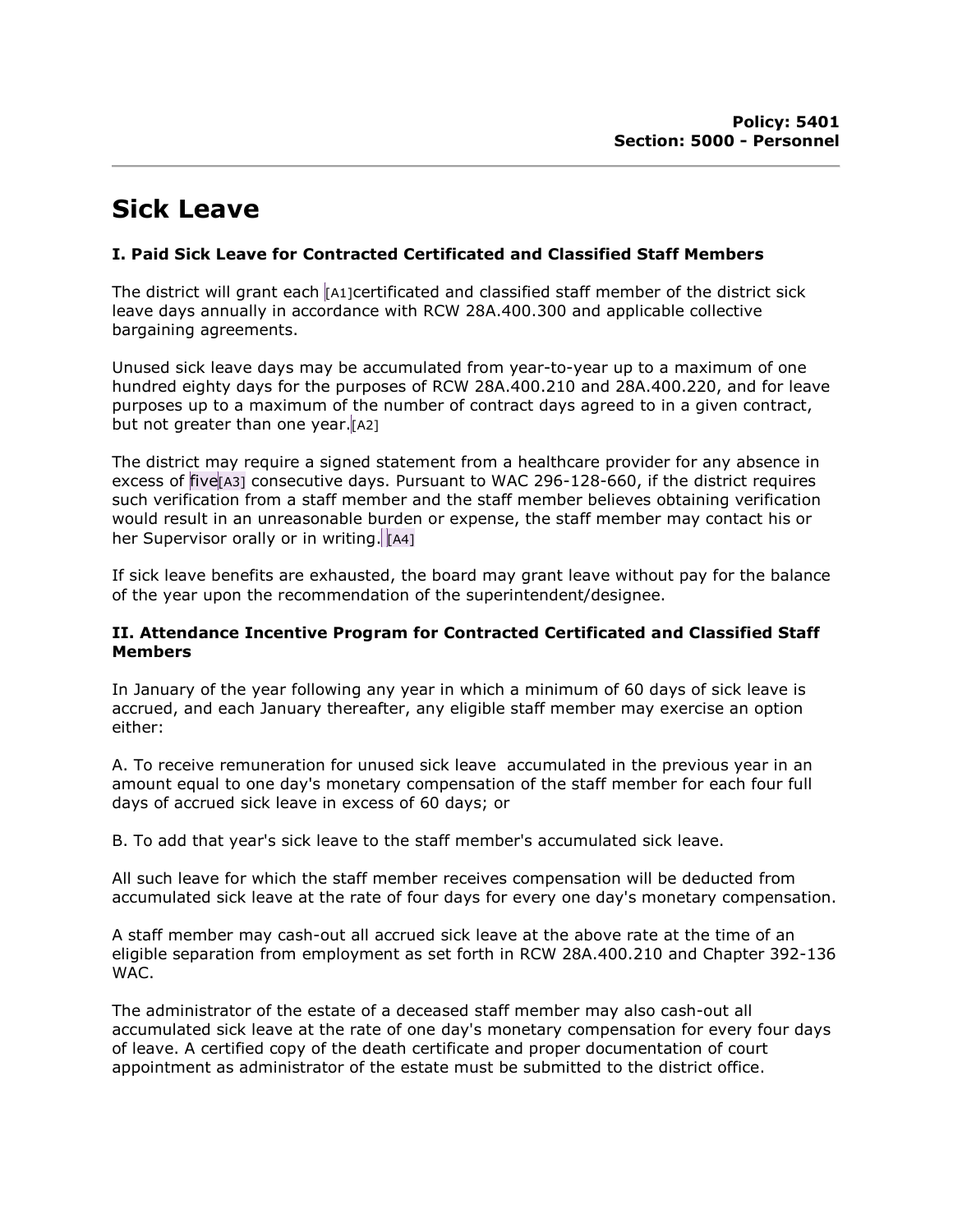# Sick Leave

## I. Paid Sick Leave for Contracted Certificated and Classified Staff Members

The district will grant each [A1]certificated and classified staff member of the district sick leave days annually in accordance with RCW 28A.400.300 and applicable collective bargaining agreements.

Unused sick leave days may be accumulated from year-to-year up to a maximum of one hundred eighty days for the purposes of RCW 28A.400.210 and 28A.400.220, and for leave purposes up to a maximum of the number of contract days agreed to in a given contract, but not greater than one year.  $[A2]$ 

The district may require a signed statement from a healthcare provider for any absence in excess of five [A3] consecutive days. Pursuant to WAC 296-128-660, if the district requires such verification from a staff member and the staff member believes obtaining verification would result in an unreasonable burden or expense, the staff member may contact his or her Supervisor orally or in writing.  $\left|\mathbb{A}^{4}\right|$ 

If sick leave benefits are exhausted, the board may grant leave without pay for the balance of the year upon the recommendation of the superintendent/designee.

#### II. Attendance Incentive Program for Contracted Certificated and Classified Staff **Members**

In January of the year following any year in which a minimum of 60 days of sick leave is accrued, and each January thereafter, any eligible staff member may exercise an option either:

A. To receive remuneration for unused sick leave accumulated in the previous year in an amount equal to one day's monetary compensation of the staff member for each four full days of accrued sick leave in excess of 60 days; or

B. To add that year's sick leave to the staff member's accumulated sick leave.

All such leave for which the staff member receives compensation will be deducted from accumulated sick leave at the rate of four days for every one day's monetary compensation.

A staff member may cash-out all accrued sick leave at the above rate at the time of an eligible separation from employment as set forth in RCW 28A.400.210 and Chapter 392-136 WAC.

The administrator of the estate of a deceased staff member may also cash-out all accumulated sick leave at the rate of one day's monetary compensation for every four days of leave. A certified copy of the death certificate and proper documentation of court appointment as administrator of the estate must be submitted to the district office.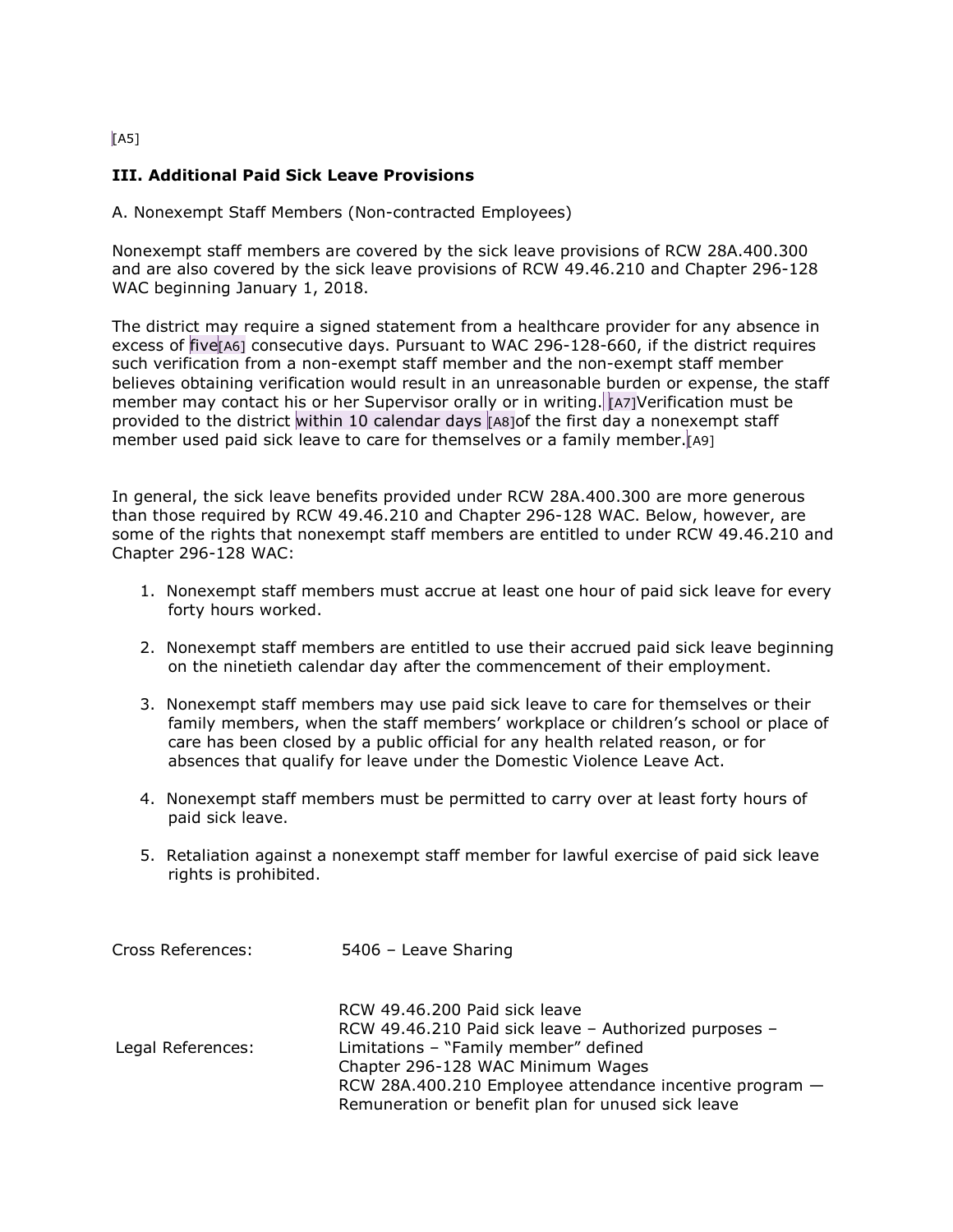### $\sqrt{A5}$

## III. Additional Paid Sick Leave Provisions

A. Nonexempt Staff Members (Non-contracted Employees)

Nonexempt staff members are covered by the sick leave provisions of RCW 28A.400.300 and are also covered by the sick leave provisions of RCW 49.46.210 and Chapter 296-128 WAC beginning January 1, 2018.

The district may require a signed statement from a healthcare provider for any absence in excess of five [A6] consecutive days. Pursuant to WAC 296-128-660, if the district requires such verification from a non-exempt staff member and the non-exempt staff member believes obtaining verification would result in an unreasonable burden or expense, the staff member may contact his or her Supervisor orally or in writing. [A7]Verification must be provided to the district within 10 calendar days [A8]of the first day a nonexempt staff member used paid sick leave to care for themselves or a family member.[A9]

In general, the sick leave benefits provided under RCW 28A.400.300 are more generous than those required by RCW 49.46.210 and Chapter 296-128 WAC. Below, however, are some of the rights that nonexempt staff members are entitled to under RCW 49.46.210 and Chapter 296-128 WAC:

- 1. Nonexempt staff members must accrue at least one hour of paid sick leave for every forty hours worked.
- 2. Nonexempt staff members are entitled to use their accrued paid sick leave beginning on the ninetieth calendar day after the commencement of their employment.
- 3. Nonexempt staff members may use paid sick leave to care for themselves or their family members, when the staff members' workplace or children's school or place of care has been closed by a public official for any health related reason, or for absences that qualify for leave under the Domestic Violence Leave Act.
- 4. Nonexempt staff members must be permitted to carry over at least forty hours of paid sick leave.
- 5. Retaliation against a nonexempt staff member for lawful exercise of paid sick leave rights is prohibited.

| Cross References: | 5406 - Leave Sharing                                    |
|-------------------|---------------------------------------------------------|
|                   | RCW 49.46.200 Paid sick leave                           |
|                   | RCW 49.46.210 Paid sick leave - Authorized purposes -   |
| Legal References: | Limitations - "Family member" defined                   |
|                   | Chapter 296-128 WAC Minimum Wages                       |
|                   | RCW 28A.400.210 Employee attendance incentive program - |
|                   | Remuneration or benefit plan for unused sick leave      |